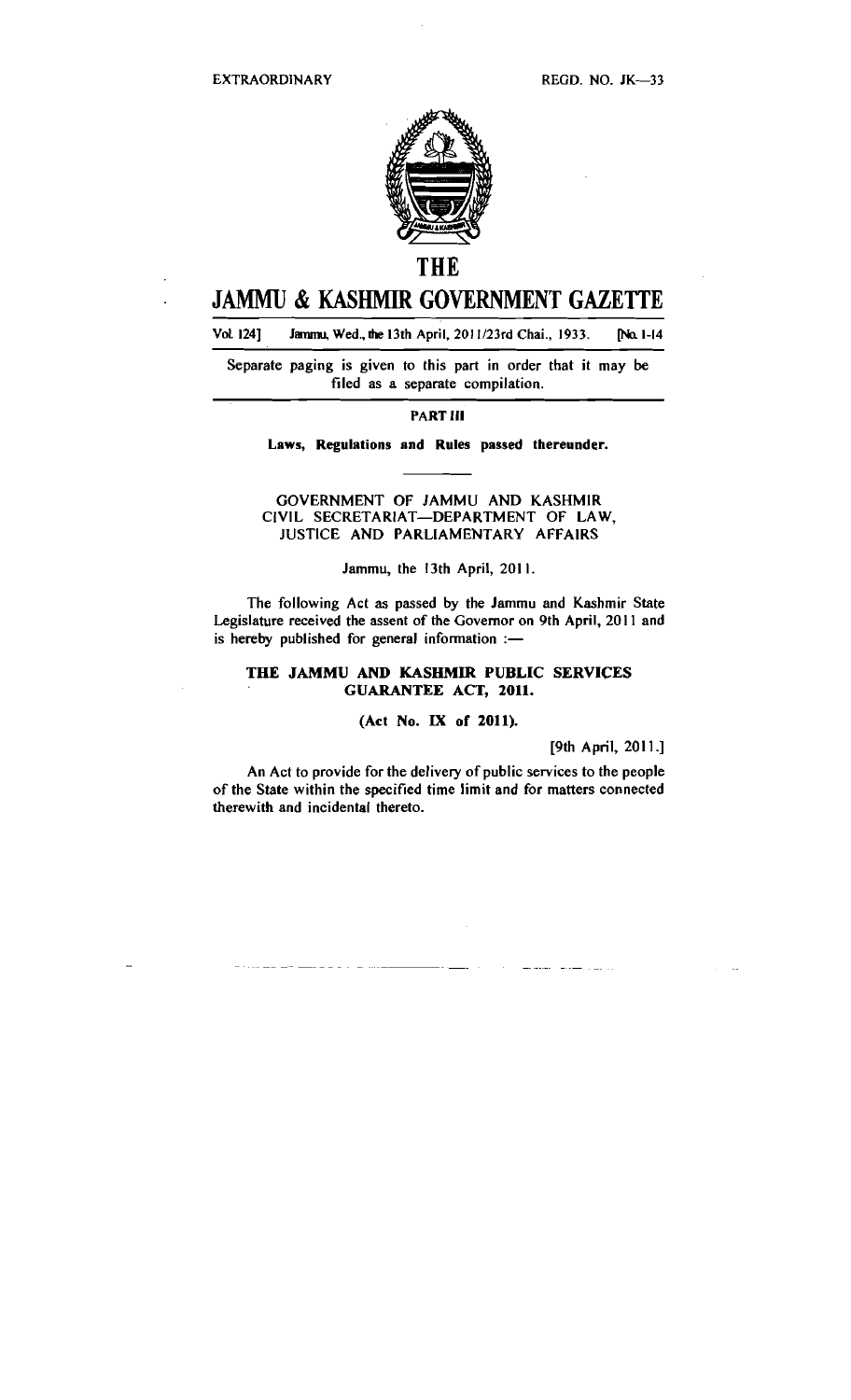

# **THE**

# **JAMMU** & **KASHMIR GOVERNMENT GAZETTE**

Vol. 124] Jammu, Wed., the 13th April. 2011/23rd Chai., 1933. [No. 1-14]

Separate paging is given to this part in order that it may **be**  filed as a separate compilation.

#### PART Ill

#### Laws, Regulations and Rules passed thereunder.

GOVERNMENT OF JAMMU AND KASHMIR CIVIL SECRETARIAT-DEPARTMENT OF LAW, JUSTICE AND PARLIAMENTARY AFFAIRS

#### Jammu, the 13th April, 201 1.

The following Act as passed by the Jammu and Kashmir State Legislature received the assent of the Governor on 9th April, 2011 and is hereby published for general information  $:$ -

## THE JAMMU AND KASHMIR PUBLIC SERVICES GUARANTEE ACT, **2011.**

## (Act No. IX of 2011).

[9th April, 2011.]

An Act to provide for the delivery of public services to the people of the State within the specified time limit and for matters connected therewith and incidental thereto.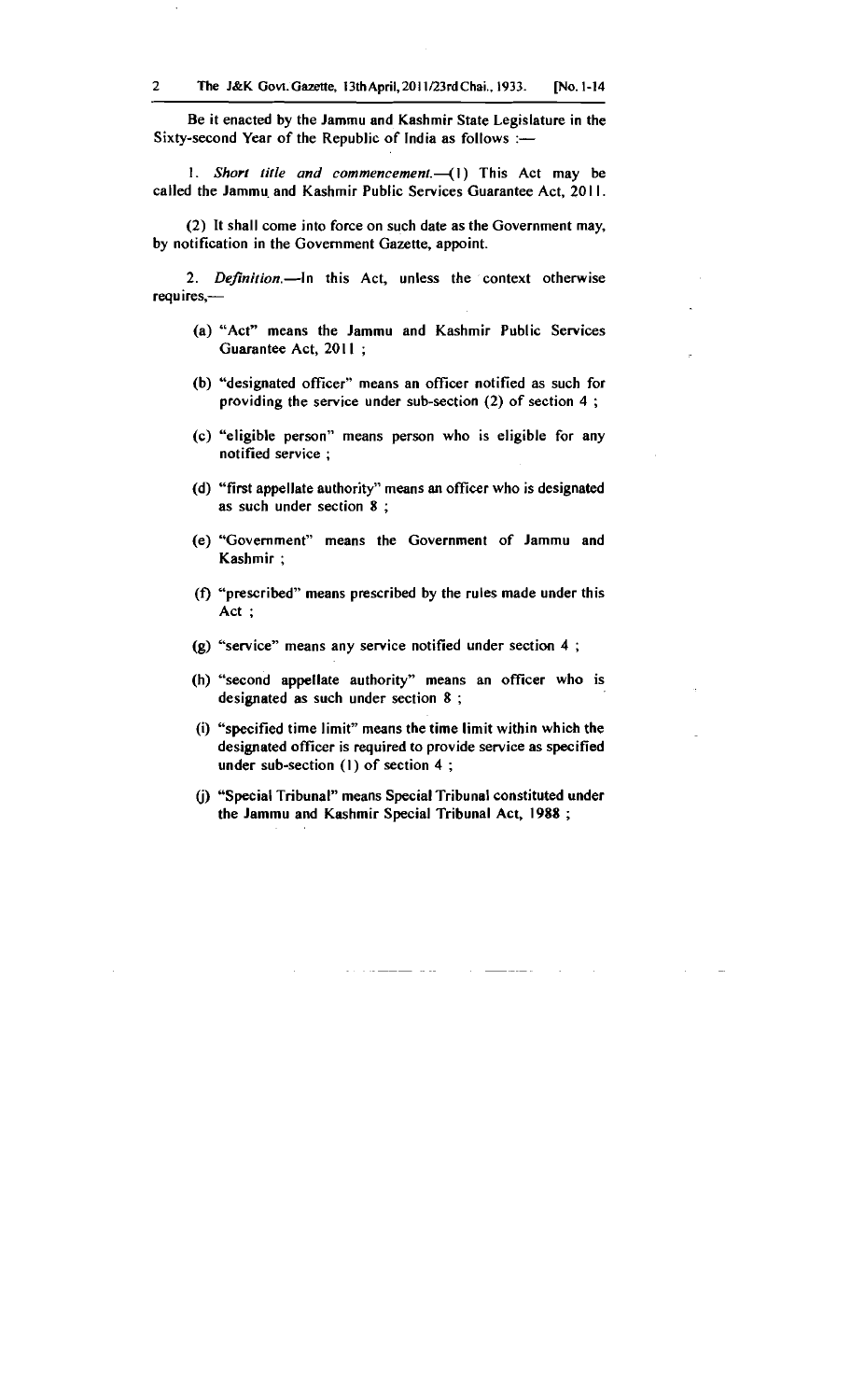Be it enacted by the Jammu and Kashmir State Legislature in the Sixty-second Year of the Republic of India as follows :-

1. Short title and commencement. $(-1)$  This Act may be called the Jammu and Kashmir Public Services Guarantee Act, 2011.

(2) It shall come into force on such date as the Government may, by notification in the Government Gazette, appoint.

2. Definition.-In this Act, unless the context otherwise requires,-

- (a) "Act" means the Jammu and Kashmir Public Services Guarantee Act, 2011;
- (b) "designated officer" means an officer notified as such for providing the service under sub-section (2) of section 4 ;
- (c) "eligible person" means person who is eligible for any notified service ;
- (d) "first appellate authority" means an officer who is designated as such under section 8 ;
- (e) "Government" means the Government of Jammu and Kashmir ;
- **(f)** "prescribed" means prescribed by the rules made under this Act ;
- (g) "service" means any service notified under section 4 ;
- (h) "second appellate authority" means an officer who is designated as such under section 8 ;
- (i) "specified time limit" means the time limit within which the designated officer is required to provide service as specified under sub-section (I) of section 4 ;
- (i) "Special Tribunal" means Special Tribunal constituted under the Jammu and Kashmir Special Tribunal Act, 1988 ;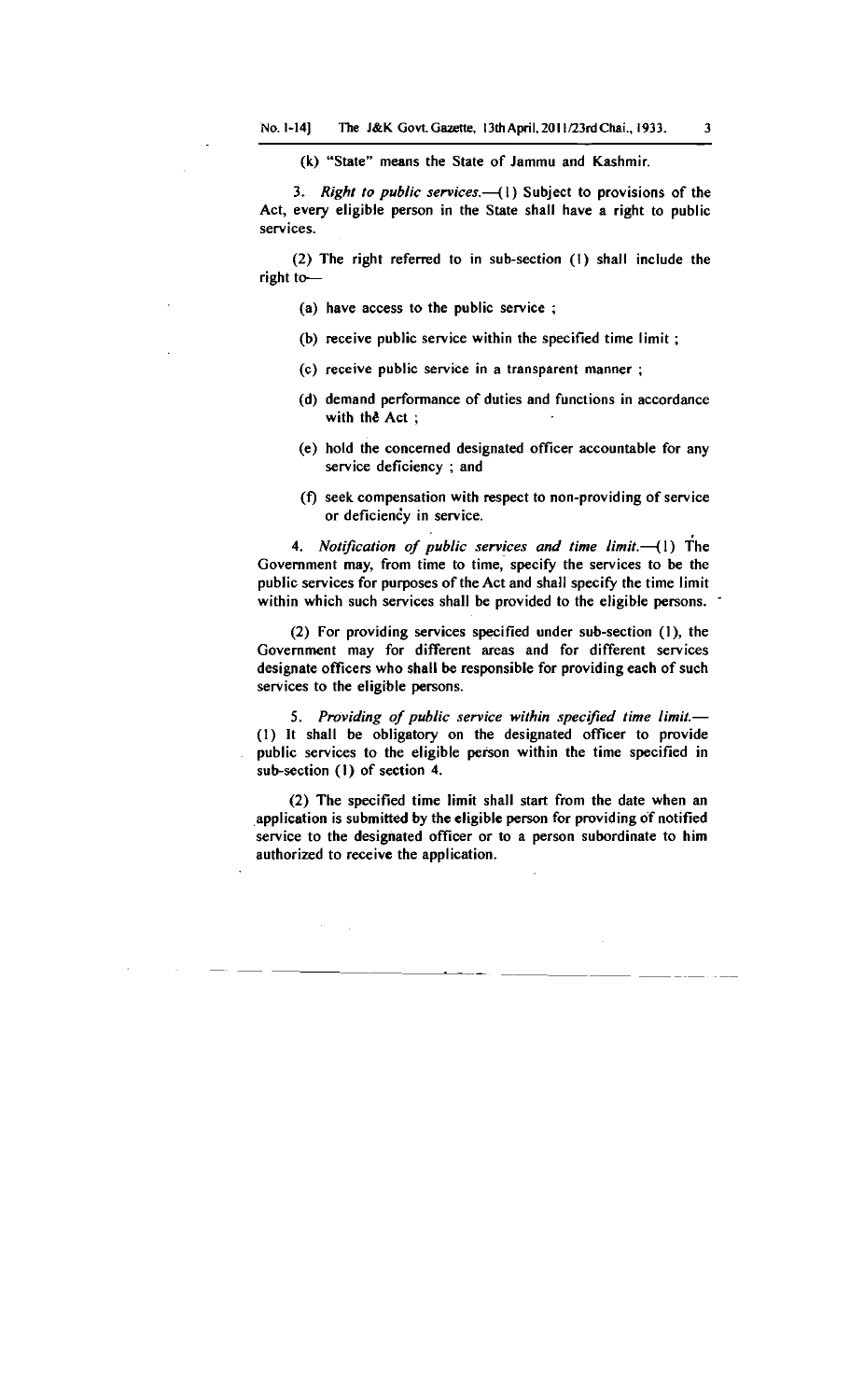(k) "State" means the State of Jammu and Kashmir.

**3.** *Right to public services.* (1) Subject to provisions of the Act, every eligible person in the State shall have a right to public services.

(2) The right referred to in sub-section (I) shall include the right to-

- (a) have access to the public service ;
- (b) receive public service within the specified time limit ;
- (c) receive public service in a transparent manner ;
- (d) demand performance of duties and functions in accordance with the Act ;
- (e) hold the concerned designated officer accountable for any service deficiency ; and
- $(f)$  seek compensation with respect to non-providing of service or deficiency in service.

**4.** *Notification of public services and time limit.* (1) The Government may, from time to time, specify the services to be the public services for purposes of the Act and shall specify the time limit within which such services shall be provided to the eligible persons.

(2) For providing services specified under sub-section (I), the Government may for different areas and for different services designate officers who shall be responsible for providing each of such services to the eligible persons.

5. Providing of public service within specified time limit.-*(1)* It shall be obligatory on the designated officer to provide public services to the eligible person within the time specified in sub-section (I) of section 4.

(2) The specified time limit shall start from the date when an application is submitted by the eligible person for providing of notitied service to the designated officer or to a person subordinate to him authorized to receive the application.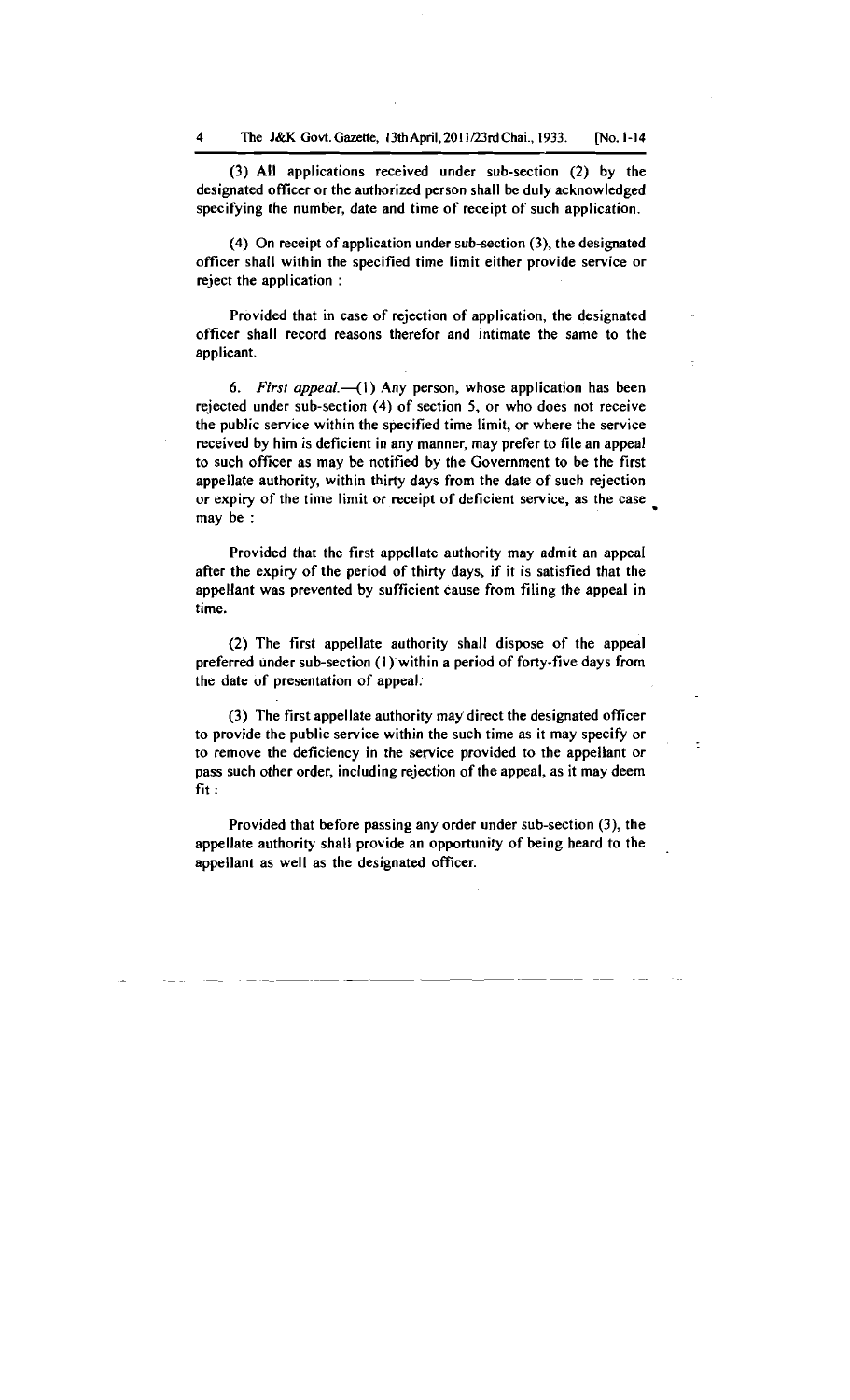(3) All applications received under sub-section (2) by the designated officer or the authorized person shall be duly acknowledged specifying the number, date and time of receipt of such application.

(4) On receipt of application under sub-section (3), the designated officer shall within the specified time limit either provide service or reject the application :

Provided that in case of rejection of application, the designated officer shall record reasons therefor and intimate the same to the applicant.

**6.** *First appeal.* (1) Any person, whose application has been rejected under sub-section (4) of section 5, or who does not receive the public service within the specified time limit, or where the service received by him is deficient in any manner, may prefer to file an appeal to such officer as may be notified by the Government to be the first appellate authority, within thirty days from the date of such rejection or expiry of the time limit or receipt of deficient service, as the case . may be :

Provided that the first appellate authority may admit an appeal after the expiry of the period of thirty days, if it is satisfied that the appellant was prevented by sufficient cause from filing the appeal in time.

(2) The first appellate authority shall dispose of the appeal preferred under sub-section (I) within a period of forty-five days from the date of presentation of appeal.

(3) The first appellate authority may direct the designated officer to provide the public service within the such time as it may specify or to remove the deficiency in the service provided to the appellant or pass such other order, including rejection of the appeal, as it may deem fit :

Provided that before passing any order under sub-section **(3),** the appellate authority shall provide an opportunity of being heard to the appellant as well as the designated officer.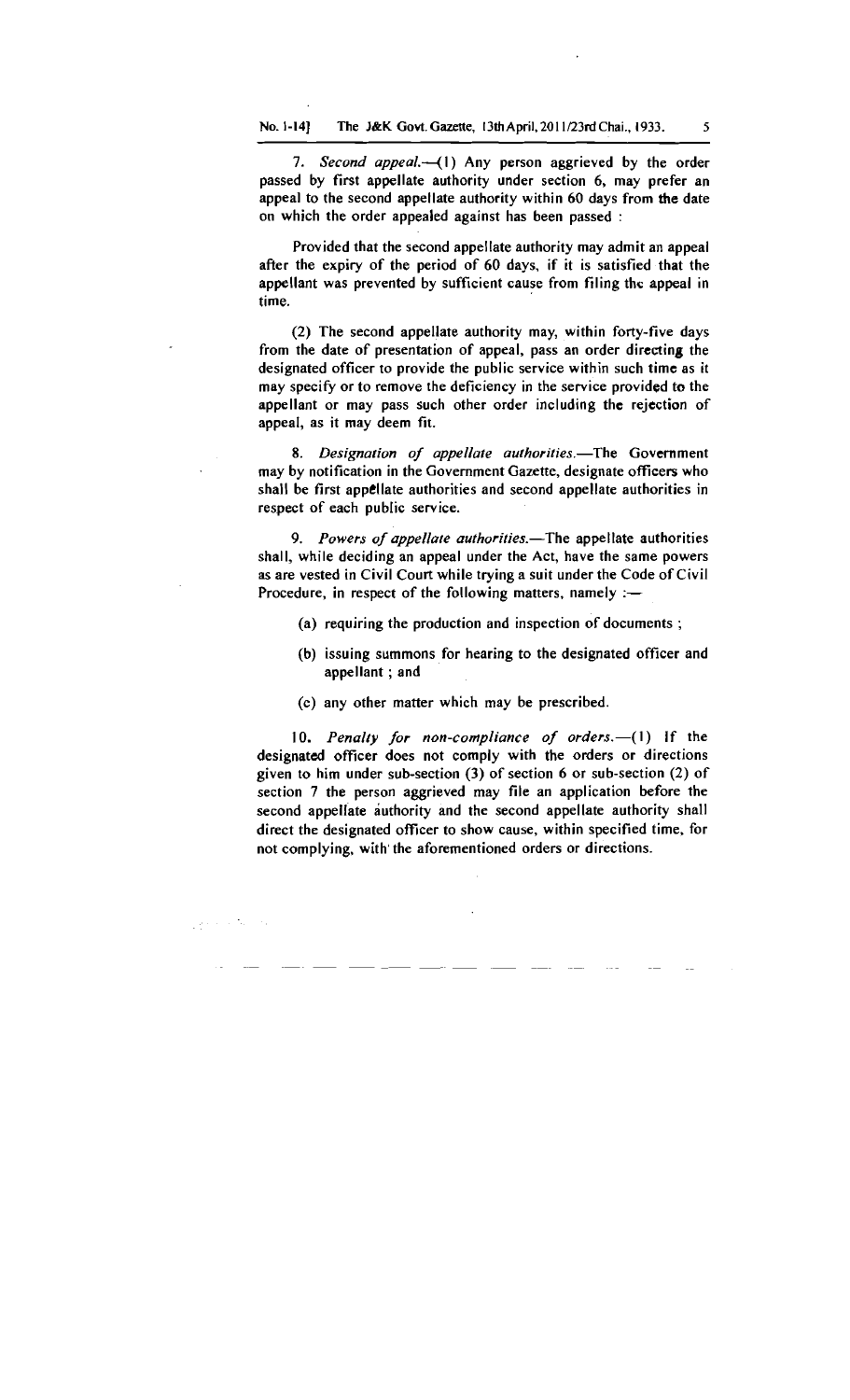7. Second appeal.-(1) Any person aggrieved by the order passed by first appellate authority under section **6,** may prefer an appeal to the second appellate authority within **60** days from **the** date on which the order appealed against has been passed :

Provided that the second appellate authority may admit an appeal after the expiry of the period of **60** days, if it is satisfied that the appellant was prevented by sufficient cause from filing thc appeal in time.

(2) The second appellate authority may, within forty-five days from the date of presentation of appeal, pass an order directing the designated officer to provide the public service within such time as it may specify or to remove the deficiency in the service provided to the appellant or may pass such other order including the rejection of appeal, as it may deem fit.

8. Designation of appellate authorities.-The Government may by notification in the Government Gazette, designate officers who shall be first appellate authorities and second appellate authorities in respect of each public service.

9. Powers of appellate authorities.-The appellate authorities shall, while deciding an appeal under the Act, have the same powers as are vested in Civil Court while trying a suit under the Code of Civil Procedure, in respect of the following matters, namely  $:=$ 

- (a) requiring the production and inspection of documents ;
- (b) issuing summons for hearing to the designated officer and appellant ; and
- (c) any other matter which may be prescribed.

San Alberta

10. Penalty for non-compliance of orders. $-(1)$  if the designated officer does not comply with the orders or directions given to him under sub-section (3) of section **6** or sub-section (2) of section 7 the person aggrieved may file an application before the second appellate authority and the second appellate authority shall direct the designated officer to show cause, within specified time, for not complying, with'the aforementioned orders or directions.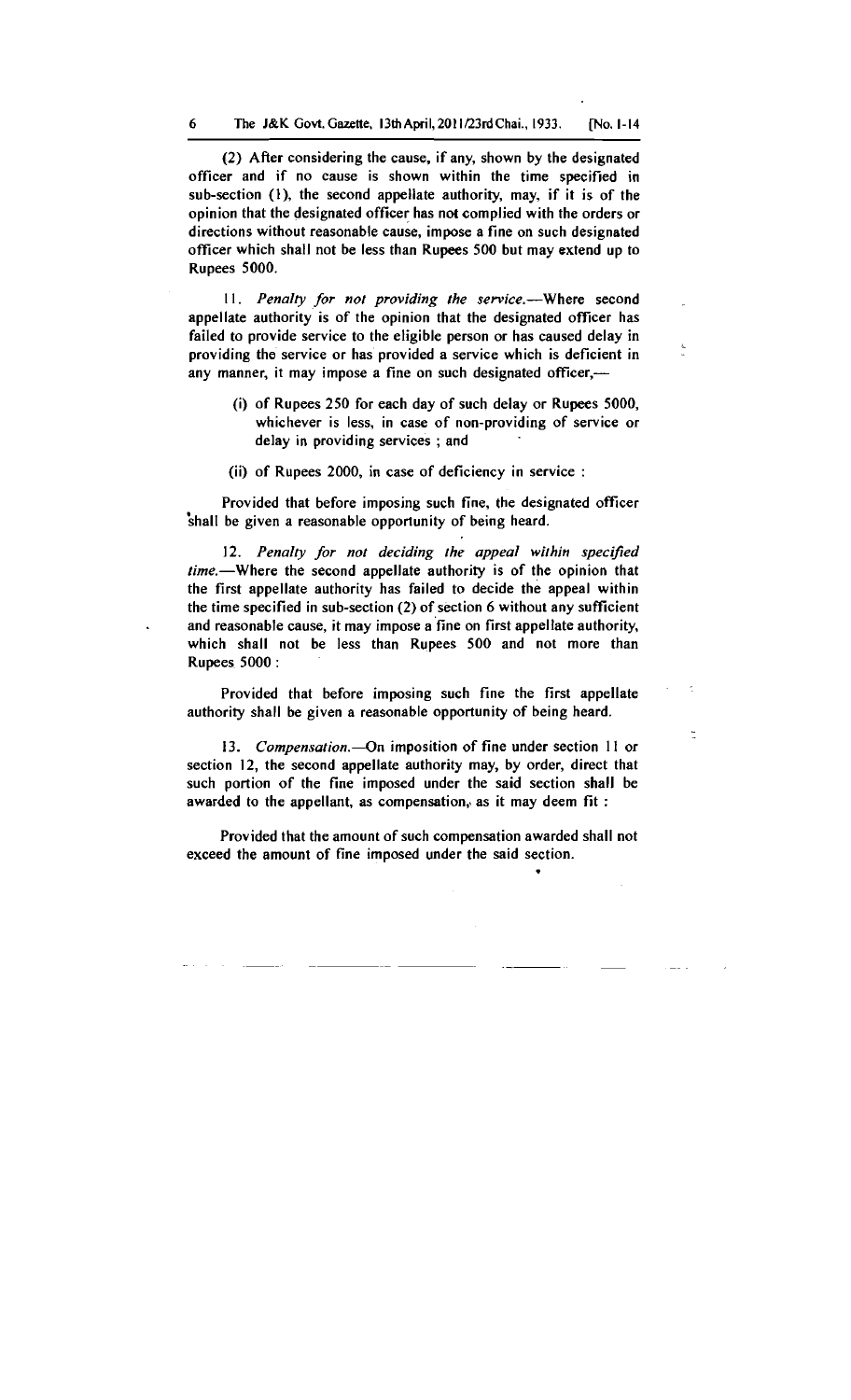(2) After considering the cause, if any, shown by the designated officer and if no cause is shown within the time specified in sub-section **(I),** the second appellate authority, may, if it is of the opinion that the designated officer has not complied with the orders or directions without reasonable cause, impose a fine on such designated officer which shall not be less than Rupees 500 but may extend up to Rupees 5000.

11. Penalty for not providing the service.--Where second appellate authority is of the opinion that the designated officer has failed to provide service to the eligible person or has caused delay in providing the service or has provided a service which is deficient in any manner, it may impose a fine on such designated officer,-

- (i) of Rupees 250 for each day of such delay or Rupees 5000, whichever is less, in case of non-providing of service or delay in providing services ; and
- (ii) of Rupees 2000, in case of deficiency in service :

Provided that before imposing such fine, the designated officer 'shall be given a reasonable opportunity of being heard.

12. Penalty for not deciding the appeal within specified  $time$ . Where the second appellate authority is of the opinion that the first appellate authority has failed to decide the appeal within the time specified in sub-section (2) of section 6 without any sufficient . and reasonable cause, it may impose a fine on first appellate authority, which shall not be less than Rupees 500 and not more than Rupees 5000 :

Provided that before imposing such fine the first appellate authority shall be given a reasonable opportunity of being heard.

13. Compensation.-- On imposition of fine under section 11 or section 12, the second appellate authority may, by order, direct that such portion of the fine imposed under the said section shall be awarded to the appellant, as compensation, as it may deem fit :

Provided that the amount of such compensation awarded shall not exceed the amount of fine imposed under the said section.